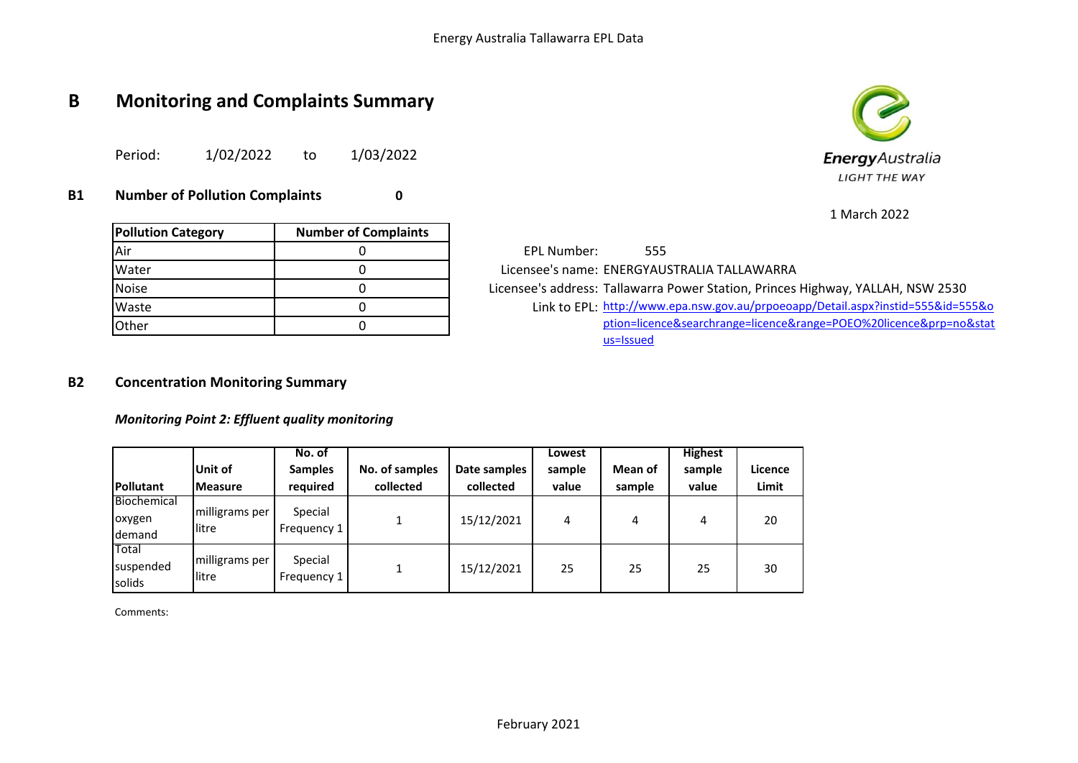# **B Monitoring and Complaints Summary**

Period: 1/02/2022 to 1/03/2022

**B1 Number of Pollution Complaints 0**

| <b>Pollution Category</b> | <b>Number of Complaints</b> |
|---------------------------|-----------------------------|
| Air                       |                             |
| Water                     |                             |
| Noise                     |                             |
| Waste                     |                             |
| Other                     |                             |

EPL Number: 555 Licensee's name: ENERGYAUSTRALIA TALLAWARRA Licensee's address: Tallawarra Power Station, Princes Highway, YALLAH, NSW 2530 Waste 2555&id=555&o 0 0 0 0 0 link to EPL: [http://www.](http://www.epa.nsw.gov.au/prpoeoapp/Detail.aspx?instid=555&id=555&option=licence&searchrange=licence&range=POEO%20licence&prp=no&status=Issued)epa.nsw.gov.au/prpoeoapp/Detail.aspx?instid=555&id=555&o [ption=licence](http://www.epa.nsw.gov.au/prpoeoapp/Detail.aspx?instid=555&id=555&option=licence&searchrange=licence&range=POEO%20licence&prp=no&status=Issued)&searchrange=licence&range=POEO%20licence&prp=no&stat [us=Issued](http://www.epa.nsw.gov.au/prpoeoapp/Detail.aspx?instid=555&id=555&option=licence&searchrange=licence&range=POEO%20licence&prp=no&status=Issued)

### **B2 Concentration Monitoring Summary**

*Monitoring Point 2: Effluent quality monitoring*

| <b>Pollutant</b>                       | Unit of<br><b>IMeasure</b> | No. of<br><b>Samples</b><br>required | No. of samples<br>collected | Date samples<br>collected | Lowest<br>sample<br>value | Mean of<br>sample | <b>Highest</b><br>sample<br>value | Licence<br>Limit |
|----------------------------------------|----------------------------|--------------------------------------|-----------------------------|---------------------------|---------------------------|-------------------|-----------------------------------|------------------|
| Biochemical<br>oxygen<br><b>demand</b> | milligrams per<br>llitre   | Special<br>Frequency 1               |                             | 15/12/2021                | 4                         | 4                 | 4                                 | 20               |
| Total<br>Isuspended<br>solids          | milligrams per<br>llitre   | Special<br>Frequency 1               |                             | 15/12/2021                | 25                        | 25                | 25                                | 30               |

Comments:



1 March 2022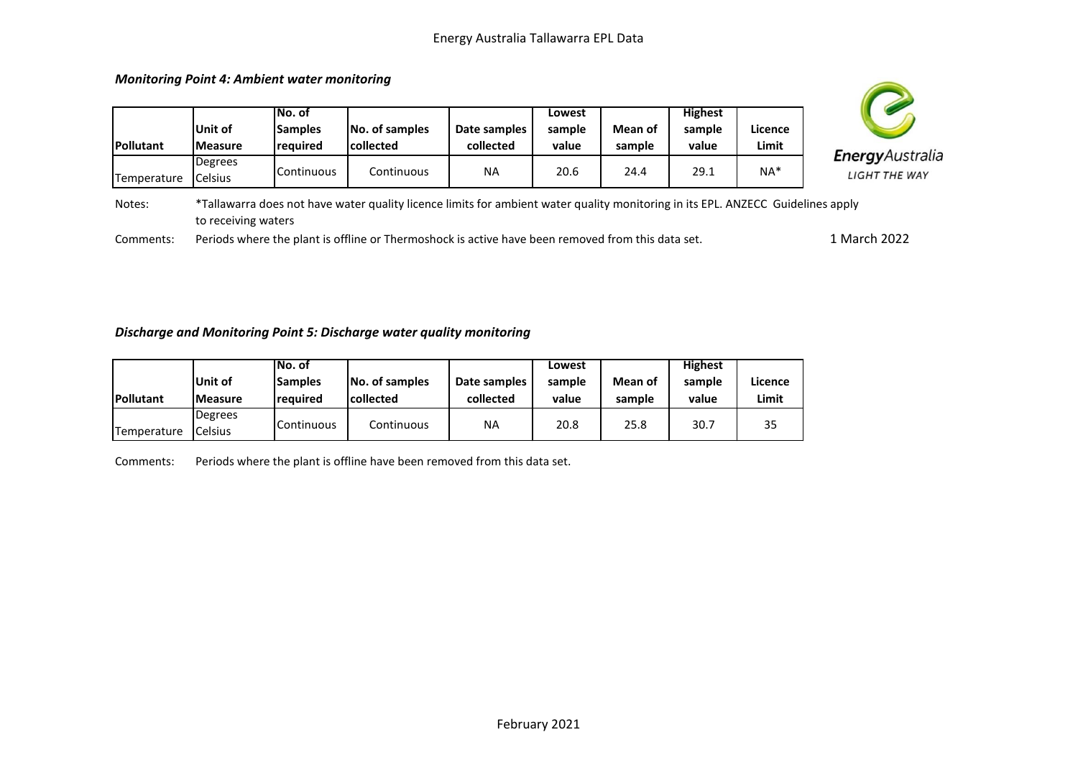| <b>ples</b> | Date samples<br>collected                                                                                                                                                                                                             | Lowest<br>sample<br>value | Mean of<br>sample | <b>Highest</b><br>sample<br>value | Licence<br>Limit |                                                 |
|-------------|---------------------------------------------------------------------------------------------------------------------------------------------------------------------------------------------------------------------------------------|---------------------------|-------------------|-----------------------------------|------------------|-------------------------------------------------|
| uous        | ΝA                                                                                                                                                                                                                                    | 20.6                      | 24.4              | 29.1                              | $NA*$            | <b>Energy</b> Australia<br><b>LIGHT THE WAY</b> |
|             | $\mathbb{R}$ . The state $\mathbb{R}$ is the state of the state of the state of the state of the state of the state of the state of the state of the state of the state of the state of the state of the state of the state of the st |                           |                   |                                   |                  |                                                 |



Г

to receiving waters

| <b>Pollutant</b> | Unit of<br><b>IMeasure</b>         | INo. of<br><b>Samples</b><br>reauired | No. of samples<br><b>collected</b>                                                                                              | Date samples<br>collected | Lowest<br>sample<br>value | Mean of<br>sample | <b>Highest</b><br>sample<br>value | Licence<br>Limit |           |
|------------------|------------------------------------|---------------------------------------|---------------------------------------------------------------------------------------------------------------------------------|---------------------------|---------------------------|-------------------|-----------------------------------|------------------|-----------|
| Temperature      | <b>Degrees</b><br><b>I</b> Celsius | Continuous                            | Continuous                                                                                                                      | <b>NA</b>                 | 20.6                      | 24.4              | 29.1                              | NA*              | Ene<br>LI |
| Notes:           |                                    |                                       | *Tallawarra does not have water quality licence limits for ambient water quality monitoring in its EPL. ANZECC Guidelines apply |                           |                           |                   |                                   |                  |           |

Comments: Periods where the plant is offline or Thermoshock is active have been removed from this data set. 1 March 2022

#### *Discharge and Monitoring Point 5: Discharge water quality monitoring*

|                  |                 | INo. of           |                  |              | Lowest |         | <b>Highest</b> |         |
|------------------|-----------------|-------------------|------------------|--------------|--------|---------|----------------|---------|
|                  | lUnit of        | <b>ISamples</b>   | No. of samples   | Date samples | sample | Mean of | sample         | Licence |
| <b>Pollutant</b> | <b>IMeasure</b> | reauired          | <b>collected</b> | collected    | value  | sample  | value          | Limit   |
|                  | Degrees         |                   |                  |              |        |         |                |         |
| Temperature      | <b>Celsius</b>  | <b>Continuous</b> | Continuous       | NA           | 20.8   | 25.8    | 30.7           | 35      |

Comments: Periods where the plant is offline have been removed from this data set.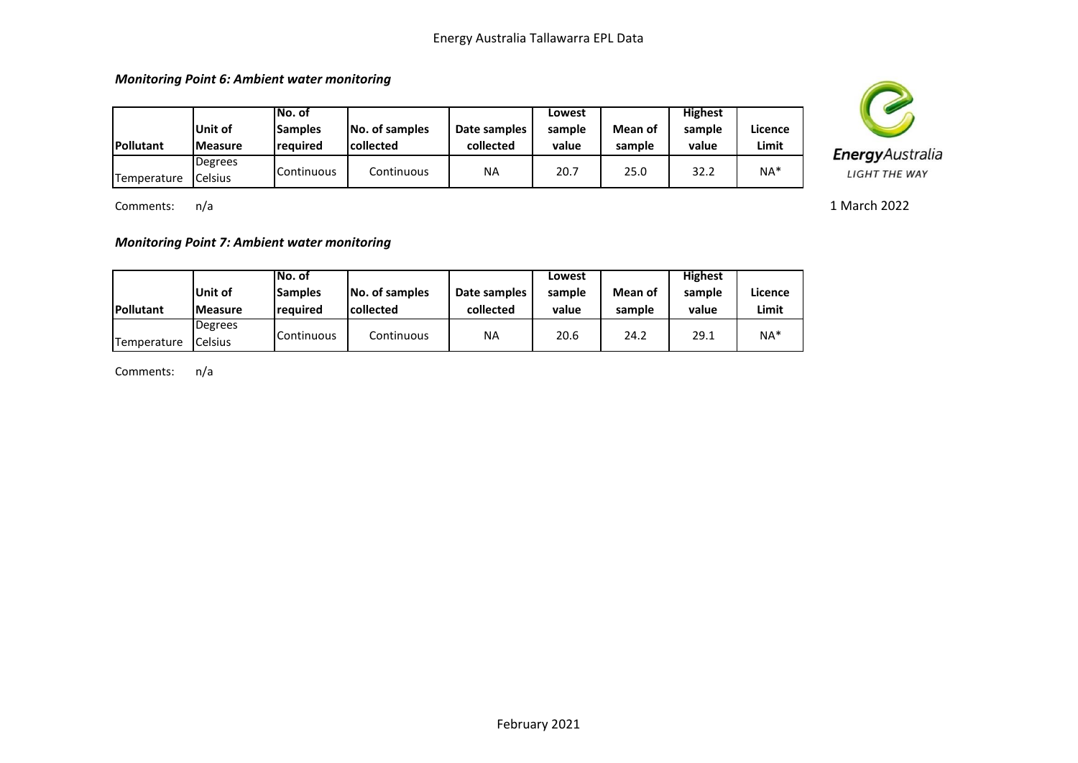*Monitoring Point 6: Ambient water monitoring*

| <b>Pollutant</b> | lUnit of<br><b>IMeasure</b> | lNo. of<br><b>Samples</b><br><b>reauired</b> | No. of samples<br><b>collected</b> | Date samples<br>collected | Lowest<br>sample<br>value | Mean of<br>sample | <b>Highest</b><br>sample<br>value | Licence<br>Limit |
|------------------|-----------------------------|----------------------------------------------|------------------------------------|---------------------------|---------------------------|-------------------|-----------------------------------|------------------|
| Temperature      | Degrees<br><b>Celsius</b>   | <b>I</b> Continuous                          | Continuous                         | NA                        | 20.7                      | 25.0              | 32.2                              | $NA*$            |

Comments: n/a

*Monitoring Point 7: Ambient water monitoring*

|             |                 | lNo. of             |                  |              | Lowest |         | <b>Highest</b> |         |
|-------------|-----------------|---------------------|------------------|--------------|--------|---------|----------------|---------|
|             | <b>Unit of</b>  | <b>Samples</b>      | No. of samples   | Date samples | sample | Mean of | sample         | Licence |
| Pollutant   | <b>IMeasure</b> | reauired            | <b>collected</b> | collected    | value  | sample  | value          | Limit   |
|             | Degrees         |                     |                  |              |        |         |                |         |
| Temperature | Celsius         | <b>I</b> Continuous | Continuous       | <b>NA</b>    | 20.6   | 24.2    | 29.1           | $NA*$   |

Comments: n/a



1 March 2022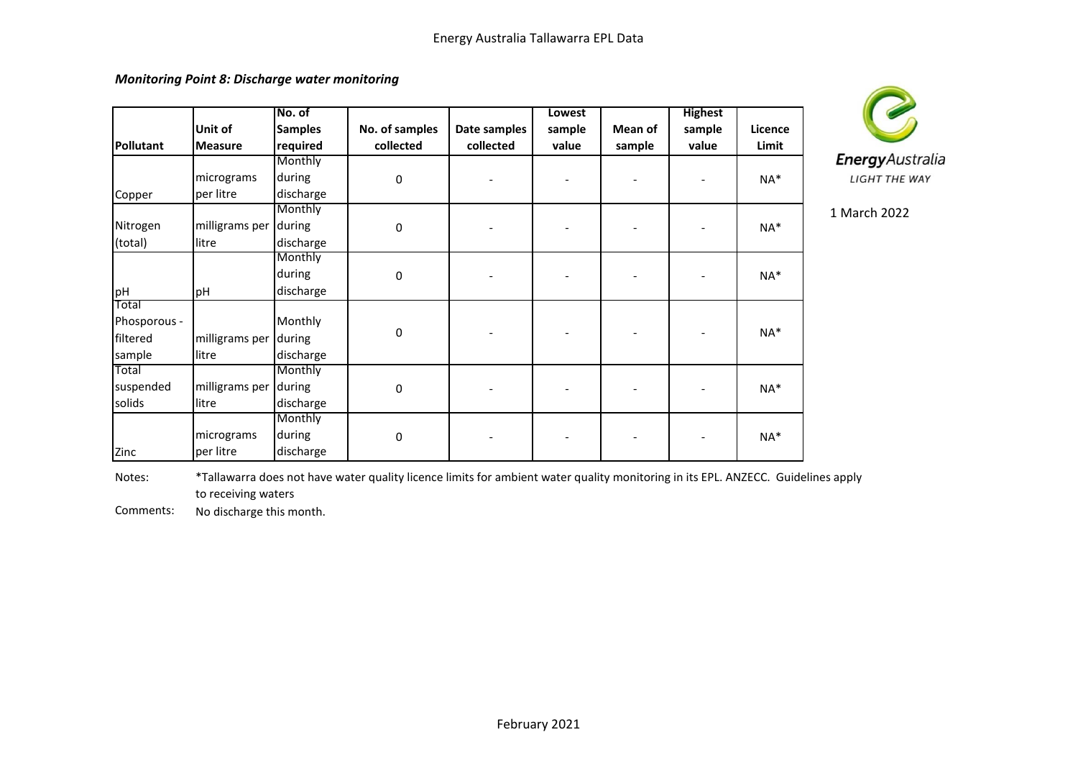*Monitoring Point 8: Discharge water monitoring*

|              |                       | No. of         |                |              | Lowest |         | <b>Highest</b> |         |
|--------------|-----------------------|----------------|----------------|--------------|--------|---------|----------------|---------|
|              | Unit of               | <b>Samples</b> | No. of samples | Date samples | sample | Mean of | sample         | Licence |
| Pollutant    | <b>Measure</b>        | required       | collected      | collected    | value  | sample  | value          | Limit   |
|              |                       | Monthly        |                |              |        |         |                |         |
|              | micrograms            | during         | $\pmb{0}$      |              |        |         |                | NA*     |
| Copper       | per litre             | discharge      |                |              |        |         |                |         |
|              |                       | Monthly        |                |              |        |         |                |         |
| Nitrogen     | milligrams per during |                | $\pmb{0}$      |              |        |         |                | NA*     |
| (total)      | litre                 | discharge      |                |              |        |         |                |         |
|              |                       | Monthly        |                |              |        |         |                |         |
|              |                       | during         | 0              |              |        |         |                | $NA*$   |
| pH           | pH                    | discharge      |                |              |        |         |                |         |
| Total        |                       |                |                |              |        |         |                |         |
| Phosporous - |                       | Monthly        |                |              |        |         |                |         |
| filtered     | milligrams per        | during         | 0              |              |        |         |                | $NA*$   |
| sample       | litre                 | discharge      |                |              |        |         |                |         |
| Total        |                       | Monthly        |                |              |        |         |                |         |
| suspended    | milligrams per        | during         | 0              |              |        |         |                | $NA*$   |
| solids       | litre                 | discharge      |                |              |        |         |                |         |
|              |                       | Monthly        |                |              |        |         |                |         |
|              | micrograms            | during         | 0              |              |        |         |                | $NA*$   |
| Zinc         | per litre             | discharge      |                |              |        |         |                |         |



1 March 2022

Notes: \*Tallawarra does not have water quality licence limits for ambient water quality monitoring in its EPL. ANZECC. Guidelines apply to receiving waters

Comments: No discharge this month.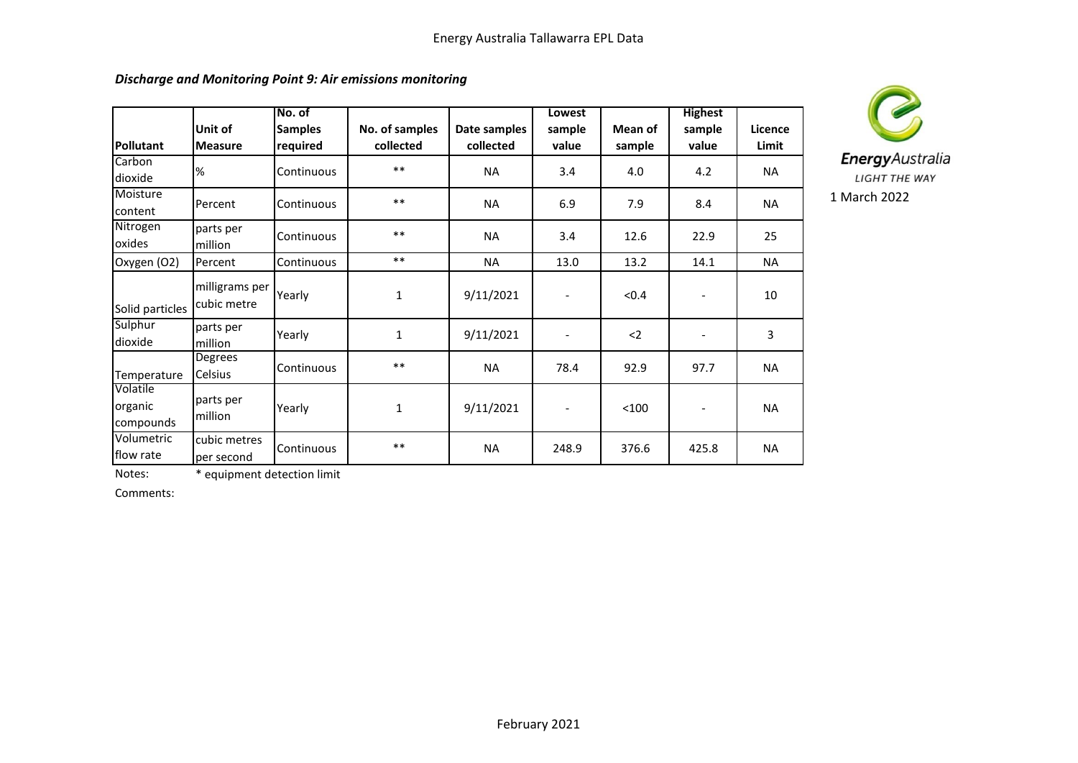|                                  |                               | No. of                     |                             |                           | Lowest                   |                   | <b>Highest</b>           |                  |
|----------------------------------|-------------------------------|----------------------------|-----------------------------|---------------------------|--------------------------|-------------------|--------------------------|------------------|
| <b>Pollutant</b>                 | Unit of<br><b>Measure</b>     | <b>Samples</b><br>required | No. of samples<br>collected | Date samples<br>collected | sample<br>value          | Mean of<br>sample | sample<br>value          | Licence<br>Limit |
| Carbon<br>dioxide                | %                             | Continuous                 | $***$                       | <b>NA</b>                 | 3.4                      | 4.0               | 4.2                      | NA               |
| Moisture<br>content              | Percent                       | Continuous                 | $***$                       | <b>NA</b>                 | 6.9                      | 7.9               | 8.4                      | <b>NA</b>        |
| Nitrogen<br>oxides               | parts per<br>million          | Continuous                 | $***$                       | <b>NA</b>                 | 3.4                      | 12.6              | 22.9                     | 25               |
| Oxygen (O2)                      | Percent                       | Continuous                 | $***$                       | <b>NA</b>                 | 13.0                     | 13.2              | 14.1                     | <b>NA</b>        |
| Solid particles                  | milligrams per<br>cubic metre | Yearly                     | $\mathbf{1}$                | 9/11/2021                 | $\overline{\phantom{a}}$ | < 0.4             | $\overline{\phantom{a}}$ | 10               |
| Sulphur<br>dioxide               | parts per<br>million          | Yearly                     | $\mathbf{1}$                | 9/11/2021                 | $\overline{\phantom{a}}$ | $2$               | $\overline{\phantom{a}}$ | 3                |
| Temperature                      | Degrees<br><b>Celsius</b>     | Continuous                 | $***$                       | <b>NA</b>                 | 78.4                     | 92.9              | 97.7                     | <b>NA</b>        |
| Volatile<br>organic<br>compounds | parts per<br>million          | Yearly                     | $\mathbf{1}$                | 9/11/2021                 |                          | < 100             |                          | <b>NA</b>        |
| Volumetric<br>flow rate          | cubic metres<br>per second    | Continuous                 | $***$                       | <b>NA</b>                 | 248.9                    | 376.6             | 425.8                    | <b>NA</b>        |



Notes: \* equipment detection limit

Comments: